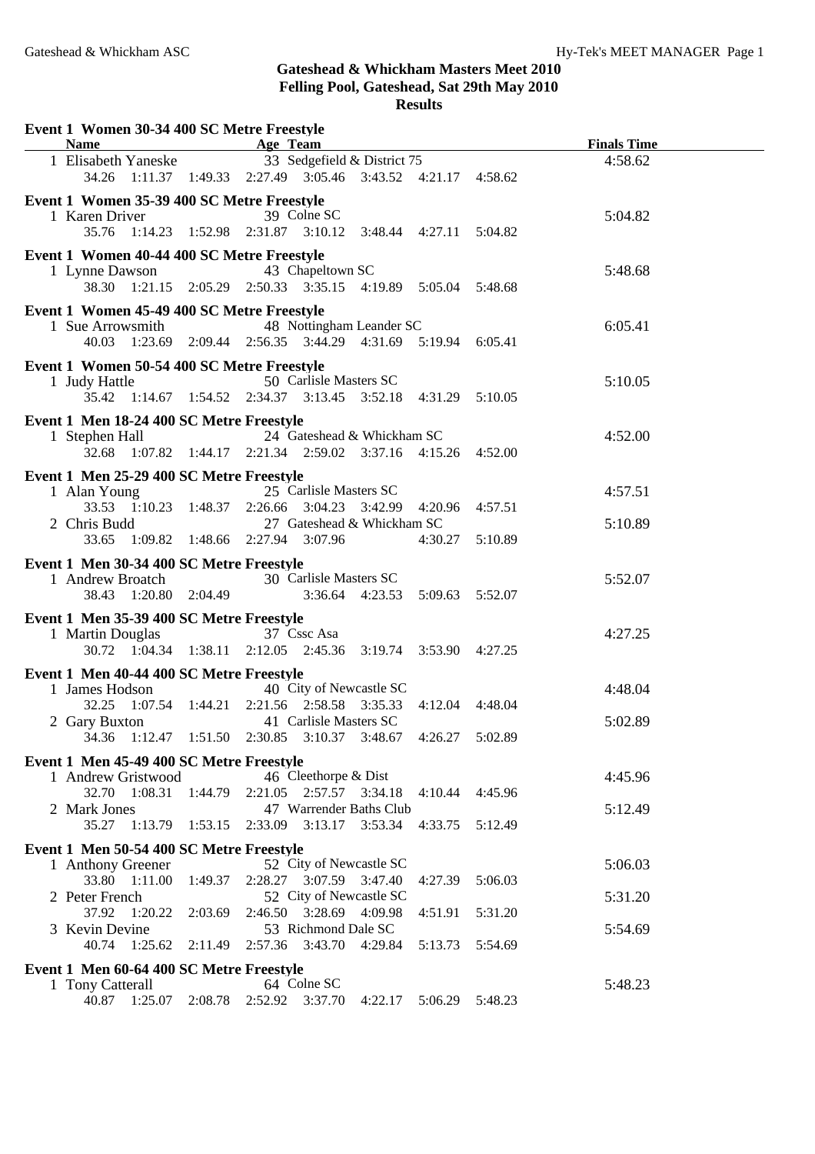| Event 1 Women 30-34 400 SC Metre Freestyle<br><b>Name</b>     |         | Age Team         |                                 |         |                 | <b>Finals Time</b> |
|---------------------------------------------------------------|---------|------------------|---------------------------------|---------|-----------------|--------------------|
| 1 Elisabeth Yaneske                                           |         |                  | 33 Sedgefield & District 75     |         |                 | 4:58.62            |
| 34.26 1:11.37 1:49.33 2:27.49 3:05.46 3:43.52 4:21.17 4:58.62 |         |                  |                                 |         |                 |                    |
| Event 1 Women 35-39 400 SC Metre Freestyle                    |         |                  |                                 |         |                 |                    |
| 1 Karen Driver                                                |         | 39 Colne SC      |                                 |         |                 | 5:04.82            |
| 35.76 1:14.23 1:52.98 2:31.87 3:10.12 3:48.44 4:27.11 5:04.82 |         |                  |                                 |         |                 |                    |
|                                                               |         |                  |                                 |         |                 |                    |
| Event 1 Women 40-44 400 SC Metre Freestyle                    |         |                  |                                 |         |                 |                    |
| 1 Lynne Dawson                                                |         | 43 Chapeltown SC |                                 |         |                 | 5:48.68            |
| 38.30 1:21.15 2:05.29 2:50.33 3:35.15 4:19.89 5:05.04 5:48.68 |         |                  |                                 |         |                 |                    |
|                                                               |         |                  |                                 |         |                 |                    |
| Event 1 Women 45-49 400 SC Metre Freestyle                    |         |                  | 48 Nottingham Leander SC        |         |                 |                    |
| 1 Sue Arrowsmith                                              |         |                  |                                 |         |                 | 6:05.41            |
| 40.03 1:23.69 2:09.44 2:56.35 3:44.29 4:31.69 5:19.94 6:05.41 |         |                  |                                 |         |                 |                    |
| Event 1 Women 50-54 400 SC Metre Freestyle                    |         |                  |                                 |         |                 |                    |
| 1 Judy Hattle                                                 |         |                  | 50 Carlisle Masters SC          |         |                 | 5:10.05            |
| 35.42 1:14.67 1:54.52 2:34.37 3:13.45 3:52.18 4:31.29 5:10.05 |         |                  |                                 |         |                 |                    |
|                                                               |         |                  |                                 |         |                 |                    |
| Event 1 Men 18-24 400 SC Metre Freestyle                      |         |                  |                                 |         |                 |                    |
| 1 Stephen Hall                                                |         |                  | 24 Gateshead & Whickham SC      |         |                 | 4:52.00            |
| 32.68 1:07.82 1:44.17 2:21.34 2:59.02 3:37.16 4:15.26 4:52.00 |         |                  |                                 |         |                 |                    |
| Event 1 Men 25-29 400 SC Metre Freestyle                      |         |                  |                                 |         |                 |                    |
| 1 Alan Young                                                  |         |                  | 25 Carlisle Masters SC          |         |                 | 4:57.51            |
| 33.53 1:10.23 1:48.37 2:26.66 3:04.23 3:42.99 4:20.96 4:57.51 |         |                  |                                 |         |                 |                    |
| 2 Chris Budd                                                  |         |                  | 27 Gateshead & Whickham SC      |         |                 | 5:10.89            |
| 33.65 1:09.82 1:48.66 2:27.94 3:07.96                         |         |                  |                                 |         | 4:30.27 5:10.89 |                    |
|                                                               |         |                  |                                 |         |                 |                    |
| Event 1 Men 30-34 400 SC Metre Freestyle                      |         |                  |                                 |         |                 |                    |
| 1 Andrew Broatch                                              |         |                  | 30 Carlisle Masters SC          |         |                 | 5:52.07            |
| 38.43 1:20.80 2:04.49                                         |         |                  | 3:36.64 4:23.53 5:09.63 5:52.07 |         |                 |                    |
| Event 1 Men 35-39 400 SC Metre Freestyle                      |         |                  |                                 |         |                 |                    |
| 1 Martin Douglas                                              |         | 37 Cssc Asa      |                                 |         |                 | 4:27.25            |
| 30.72 1:04.34 1:38.11 2:12.05 2:45.36 3:19.74 3:53.90 4:27.25 |         |                  |                                 |         |                 |                    |
|                                                               |         |                  |                                 |         |                 |                    |
| Event 1 Men 40-44 400 SC Metre Freestyle                      |         |                  |                                 |         |                 |                    |
| 1 James Hodson                                                |         |                  | 40 City of Newcastle SC         |         |                 | 4:48.04            |
| 32.25 1:07.54 1:44.21 2:21.56 2:58.58 3:35.33 4:12.04 4:48.04 |         |                  |                                 |         |                 |                    |
| 2 Gary Buxton                                                 |         |                  | 41 Carlisle Masters SC          |         |                 | 5:02.89            |
| 34.36 1:12.47 1:51.50 2:30.85 3:10.37 3:48.67 4:26.27 5:02.89 |         |                  |                                 |         |                 |                    |
| Event 1 Men 45-49 400 SC Metre Freestyle                      |         |                  |                                 |         |                 |                    |
| 1 Andrew Gristwood                                            |         |                  | 46 Cleethorpe & Dist            |         |                 | 4:45.96            |
| 32.70<br>1:08.31 1:44.79                                      |         |                  | 2:21.05 2:57.57 3:34.18         | 4:10.44 | 4:45.96         |                    |
| 2 Mark Jones                                                  |         |                  | 47 Warrender Baths Club         |         |                 | 5:12.49            |
| 35.27 1:13.79 1:53.15                                         |         |                  | 2:33.09 3:13.17 3:53.34 4:33.75 |         | 5:12.49         |                    |
|                                                               |         |                  |                                 |         |                 |                    |
| Event 1 Men 50-54 400 SC Metre Freestyle                      |         |                  |                                 |         |                 |                    |
| 1 Anthony Greener                                             |         |                  | 52 City of Newcastle SC         |         |                 | 5:06.03            |
| 33.80 1:11.00                                                 | 1:49.37 | 2:28.27 3:07.59  | 3:47.40                         | 4:27.39 | 5:06.03         |                    |
| 2 Peter French                                                |         |                  | 52 City of Newcastle SC         |         |                 | 5:31.20            |
| 37.92 1:20.22                                                 | 2:03.69 | 2:46.50 3:28.69  | 4:09.98                         | 4:51.91 | 5:31.20         |                    |
| 3 Kevin Devine                                                |         |                  | 53 Richmond Dale SC             |         |                 | 5:54.69            |
| 40.74 1:25.62                                                 | 2:11.49 | 2:57.36          | 3:43.70<br>4:29.84              | 5:13.73 | 5:54.69         |                    |
|                                                               |         |                  |                                 |         |                 |                    |
| Event 1 Men 60-64 400 SC Metre Freestyle                      |         |                  |                                 |         |                 |                    |
| 1 Tony Catterall                                              |         | 64 Colne SC      |                                 |         |                 | 5:48.23            |
| 40.87 1:25.07 2:08.78 2:52.92 3:37.70 4:22.17 5:06.29 5:48.23 |         |                  |                                 |         |                 |                    |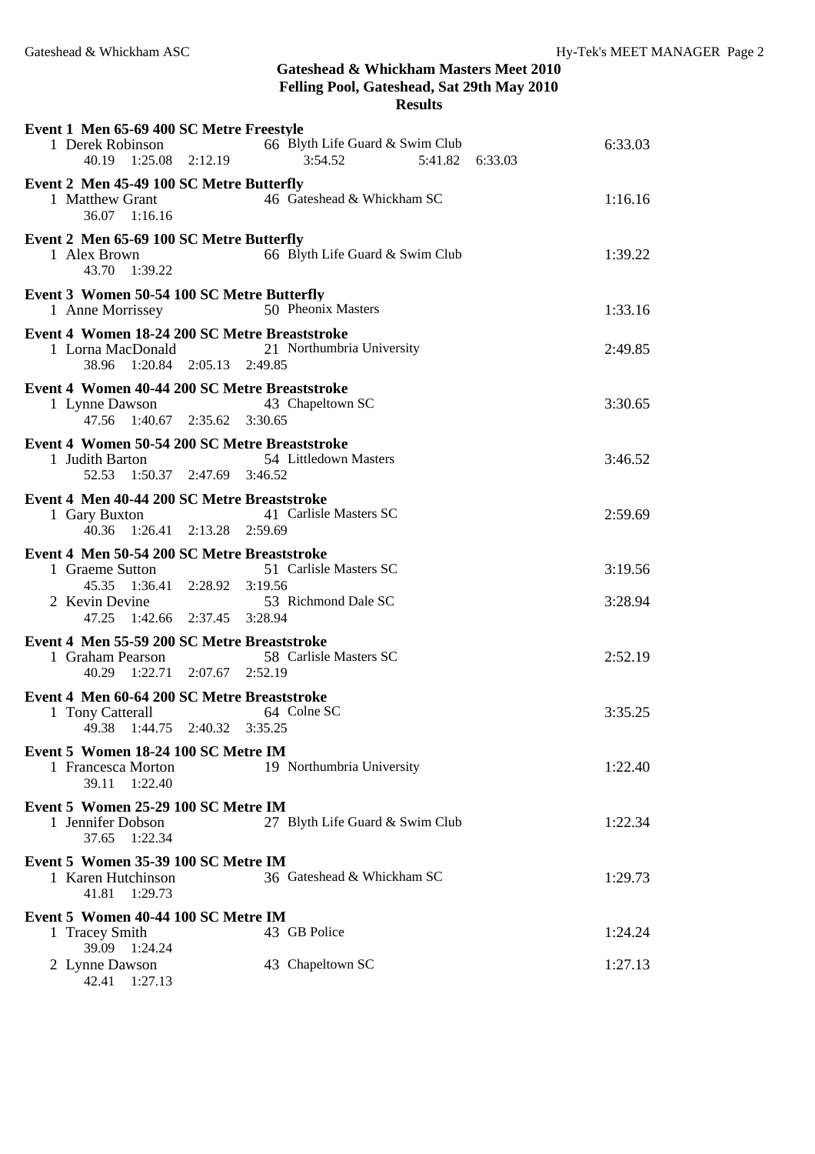| Event 1 Men 65-69 400 SC Metre Freestyle<br>66 Blyth Life Guard & Swim Club<br>1 Derek Robinson<br>40.19 1:25.08 2:12.19<br>3:54.52<br>5:41.82 6:33.03                                           | 6:33.03            |
|--------------------------------------------------------------------------------------------------------------------------------------------------------------------------------------------------|--------------------|
| Event 2 Men 45-49 100 SC Metre Butterfly<br>1 Matthew Grant 46 Gateshead & Whickham SC<br>36.07 1:16.16                                                                                          | 1:16.16            |
| Event 2 Men 65-69 100 SC Metre Butterfly<br>66 Blyth Life Guard & Swim Club<br>1 Alex Brown<br>43.70 1:39.22                                                                                     | 1:39.22            |
| Event 3 Women 50-54 100 SC Metre Butterfly<br>50 Pheonix Masters<br>1 Anne Morrissey                                                                                                             | 1:33.16            |
| Event 4 Women 18-24 200 SC Metre Breaststroke<br>1 Lorna MacDonald 21 Northumbria University<br>38.96 1:20.84 2:05.13 2:49.85                                                                    | 2:49.85            |
| Event 4 Women 40-44 200 SC Metre Breaststroke<br>1 Lynne Dawson 43 Chapeltown SC<br>47.56 1:40.67 2:35.62 3:30.65                                                                                | 3:30.65            |
| Event 4 Women 50-54 200 SC Metre Breaststroke<br>1 Judith Barton<br>54 Littledown Masters<br>52.53 1:50.37 2:47.69 3:46.52                                                                       | 3:46.52            |
| Event 4 Men 40-44 200 SC Metre Breaststroke<br>41 Carlisle Masters SC<br>1 Gary Buxton<br>40.36 1:26.41 2:13.28 2:59.69                                                                          | 2:59.69            |
| Event 4 Men 50-54 200 SC Metre Breaststroke<br>51 Carlisle Masters SC<br>1 Graeme Sutton<br>45.35 1:36.41 2:28.92 3:19.56<br>2 Kevin Devine 53 Richmond Dale SC<br>47.25 1:42.66 2:37.45 3:28.94 | 3:19.56<br>3:28.94 |
| Event 4 Men 55-59 200 SC Metre Breaststroke<br>58 Carlisle Masters SC<br>1 Graham Pearson<br>40.29 1:22.71 2:07.67 2:52.19                                                                       | 2:52.19            |
| Event 4 Men 60-64 200 SC Metre Breaststroke<br>64 Colne SC<br>1 Tony Catterall<br>1:44.75 2:40.32 3:35.25<br>49.38                                                                               | 3:35.25            |
| Event 5 Women 18-24 100 SC Metre IM<br>19 Northumbria University<br>1 Francesca Morton<br>39.11 1:22.40                                                                                          | 1:22.40            |
| Event 5 Women 25-29 100 SC Metre IM<br>1 Jennifer Dobson<br>27 Blyth Life Guard & Swim Club<br>37.65 1:22.34                                                                                     | 1:22.34            |
| Event 5 Women 35-39 100 SC Metre IM<br>36 Gateshead & Whickham SC<br>1 Karen Hutchinson<br>41.81<br>1:29.73                                                                                      | 1:29.73            |
| Event 5 Women 40-44 100 SC Metre IM<br>43 GB Police<br>1 Tracey Smith<br>39.09 1:24.24                                                                                                           | 1:24.24            |
| 43 Chapeltown SC<br>2 Lynne Dawson<br>42.41 1:27.13                                                                                                                                              | 1:27.13            |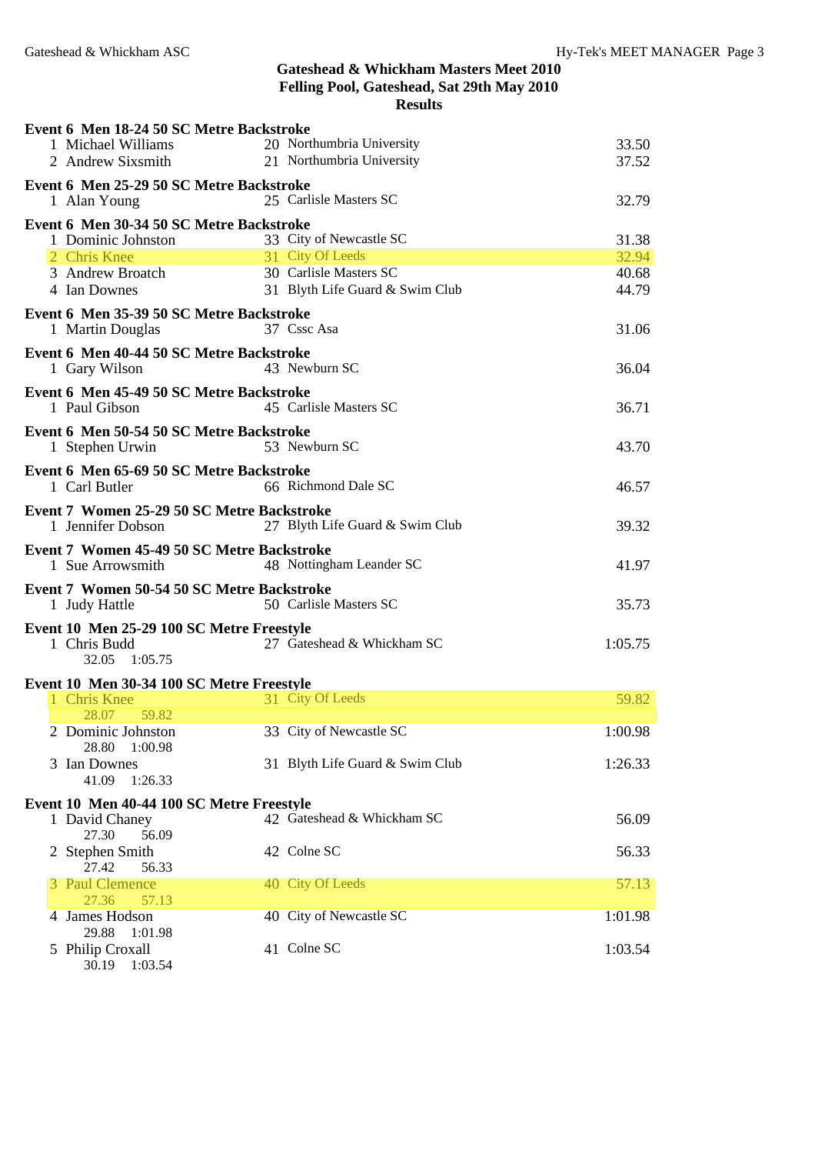| <b>Results</b> |
|----------------|
|----------------|

| Event 6 Men 18-24 50 SC Metre Backstroke                  |                                 |         |
|-----------------------------------------------------------|---------------------------------|---------|
| 1 Michael Williams                                        | 20 Northumbria University       | 33.50   |
| 2 Andrew Sixsmith                                         | 21 Northumbria University       | 37.52   |
| Event 6 Men 25-29 50 SC Metre Backstroke                  |                                 |         |
| 1 Alan Young                                              | 25 Carlisle Masters SC          | 32.79   |
| Event 6 Men 30-34 50 SC Metre Backstroke                  |                                 |         |
| 1 Dominic Johnston                                        | 33 City of Newcastle SC         | 31.38   |
| 2 Chris Knee                                              | 31 City Of Leeds                | 32.94   |
| 3 Andrew Broatch                                          | 30 Carlisle Masters SC          | 40.68   |
| 4 Ian Downes                                              | 31 Blyth Life Guard & Swim Club | 44.79   |
| Event 6 Men 35-39 50 SC Metre Backstroke                  |                                 |         |
| 1 Martin Douglas                                          | 37 Cssc Asa                     | 31.06   |
| Event 6 Men 40-44 50 SC Metre Backstroke                  |                                 |         |
| 1 Gary Wilson                                             | 43 Newburn SC                   | 36.04   |
|                                                           |                                 |         |
| Event 6 Men 45-49 50 SC Metre Backstroke<br>1 Paul Gibson | 45 Carlisle Masters SC          | 36.71   |
|                                                           |                                 |         |
| Event 6 Men 50-54 50 SC Metre Backstroke                  |                                 |         |
| 1 Stephen Urwin                                           | 53 Newburn SC                   | 43.70   |
| Event 6 Men 65-69 50 SC Metre Backstroke                  |                                 |         |
| 1 Carl Butler                                             | 66 Richmond Dale SC             | 46.57   |
| Event 7 Women 25-29 50 SC Metre Backstroke                |                                 |         |
| 1 Jennifer Dobson                                         | 27 Blyth Life Guard & Swim Club | 39.32   |
| Event 7 Women 45-49 50 SC Metre Backstroke                |                                 |         |
| 1 Sue Arrowsmith                                          | 48 Nottingham Leander SC        | 41.97   |
| Event 7 Women 50-54 50 SC Metre Backstroke                |                                 |         |
| 1 Judy Hattle                                             | 50 Carlisle Masters SC          | 35.73   |
| Event 10 Men 25-29 100 SC Metre Freestyle                 |                                 |         |
| 1 Chris Budd                                              | 27 Gateshead & Whickham SC      | 1:05.75 |
| 32.05 1:05.75                                             |                                 |         |
|                                                           |                                 |         |
| Event 10 Men 30-34 100 SC Metre Freestyle<br>1 Chris Knee | 31 City Of Leeds                | 59.82   |
| 28.07 59.82                                               |                                 |         |
| 2 Dominic Johnston                                        | 33 City of Newcastle SC         | 1:00.98 |
| 28.80 1:00.98                                             |                                 |         |
| 3 Ian Downes                                              | 31 Blyth Life Guard & Swim Club | 1:26.33 |
| 41.09 1:26.33                                             |                                 |         |
| Event 10 Men 40-44 100 SC Metre Freestyle                 |                                 |         |

| $\sim$ 10 10 10 10 11 100 DC 10100 1110000 |                            |         |
|--------------------------------------------|----------------------------|---------|
| 1 David Chaney                             | 42 Gateshead & Whickham SC | 56.09   |
| 27.30<br>56.09                             |                            |         |
| 2 Stephen Smith                            | 42 Colne SC                | 56.33   |
| 27.42<br>56.33                             |                            |         |
| 3 Paul Clemence                            | 40 City Of Leeds           | 57.13   |
| 27.36 57.13                                |                            |         |
| 4 James Hodson                             | 40 City of Newcastle SC    | 1:01.98 |
| 29.88 1:01.98                              |                            |         |
| 5 Philip Croxall                           | 41 Colne SC                | 1:03.54 |
| 1:03.54<br>30.19                           |                            |         |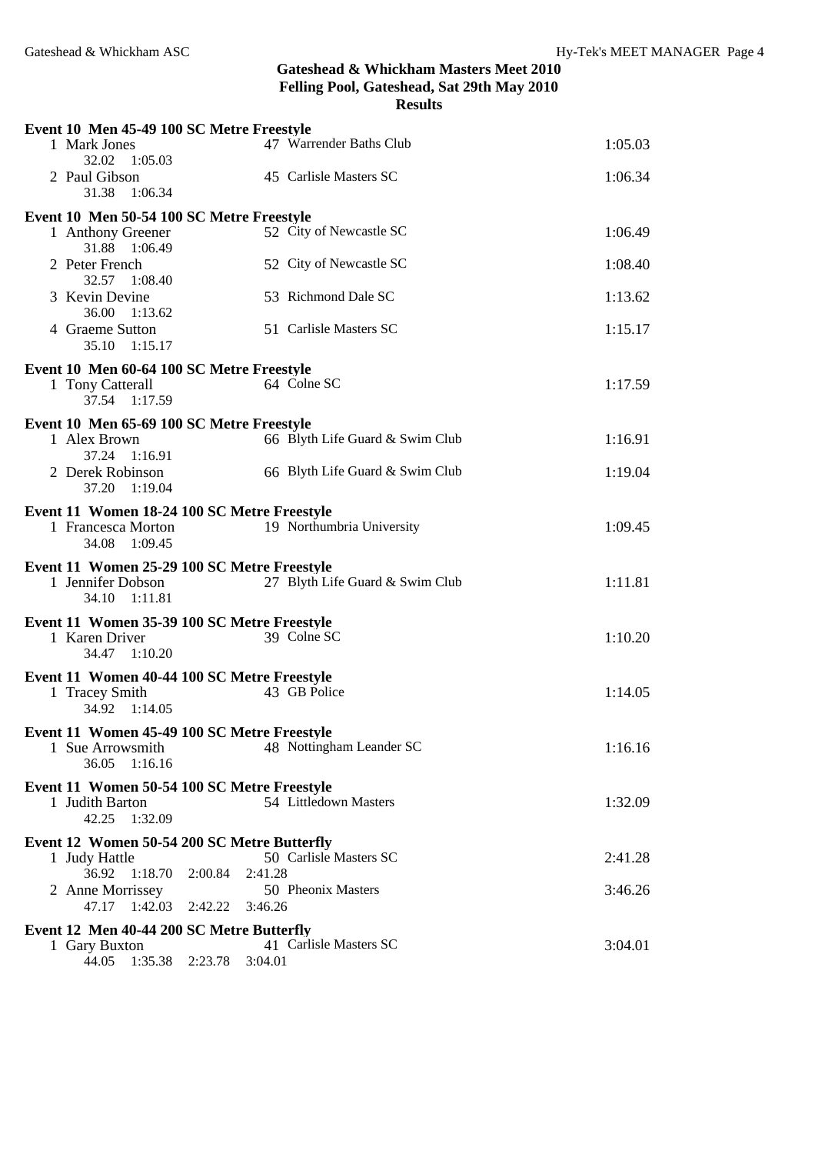|                                                                                       | <b>Results</b>                  |         |
|---------------------------------------------------------------------------------------|---------------------------------|---------|
| Event 10 Men 45-49 100 SC Metre Freestyle                                             |                                 |         |
| 1 Mark Jones<br>32.02 1:05.03                                                         | 47 Warrender Baths Club         | 1:05.03 |
| 2 Paul Gibson<br>31.38 1:06.34                                                        | 45 Carlisle Masters SC          | 1:06.34 |
| Event 10 Men 50-54 100 SC Metre Freestyle                                             |                                 |         |
| 1 Anthony Greener<br>31.88 1:06.49                                                    | 52 City of Newcastle SC         | 1:06.49 |
| 2 Peter French<br>32.57 1:08.40                                                       | 52 City of Newcastle SC         | 1:08.40 |
| 3 Kevin Devine<br>36.00 1:13.62                                                       | 53 Richmond Dale SC             | 1:13.62 |
| 4 Graeme Sutton<br>35.10 1:15.17                                                      | 51 Carlisle Masters SC          | 1:15.17 |
|                                                                                       |                                 |         |
| Event 10 Men 60-64 100 SC Metre Freestyle<br>1 Tony Catterall<br>37.54 1:17.59        | 64 Colne SC                     | 1:17.59 |
|                                                                                       |                                 |         |
| Event 10 Men 65-69 100 SC Metre Freestyle<br>1 Alex Brown<br>37.24 1:16.91            | 66 Blyth Life Guard & Swim Club | 1:16.91 |
| 2 Derek Robinson<br>37.20 1:19.04                                                     | 66 Blyth Life Guard & Swim Club | 1:19.04 |
|                                                                                       |                                 |         |
| Event 11 Women 18-24 100 SC Metre Freestyle<br>1 Francesca Morton<br>34.08<br>1:09.45 | 19 Northumbria University       | 1:09.45 |
|                                                                                       |                                 |         |
| Event 11 Women 25-29 100 SC Metre Freestyle<br>1 Jennifer Dobson<br>34.10 1:11.81     | 27 Blyth Life Guard & Swim Club | 1:11.81 |
| Event 11 Women 35-39 100 SC Metre Freestyle                                           |                                 |         |
| 1 Karen Driver<br>34.47 1:10.20                                                       | 39 Colne SC                     | 1:10.20 |
| Event 11 Women 40-44 100 SC Metre Freestyle                                           |                                 |         |
| 1 Tracey Smith<br>34.92 1:14.05                                                       | 43 GB Police                    | 1:14.05 |
| Event 11 Women 45-49 100 SC Metre Freestyle                                           |                                 |         |
| 1 Sue Arrowsmith<br>36.05 1:16.16                                                     | 48 Nottingham Leander SC        | 1:16.16 |
| Event 11 Women 50-54 100 SC Metre Freestyle                                           |                                 |         |
| 1 Judith Barton<br>42.25 1:32.09                                                      | 54 Littledown Masters           | 1:32.09 |
| Event 12 Women 50-54 200 SC Metre Butterfly                                           |                                 |         |
| 1 Judy Hattle<br>36.92 1:18.70 2:00.84 2:41.28                                        | 50 Carlisle Masters SC          | 2:41.28 |
| 2 Anne Morrissey<br>47.17 1:42.03 2:42.22 3:46.26                                     | 50 Pheonix Masters              | 3:46.26 |
|                                                                                       |                                 |         |
| Event 12 Men 40-44 200 SC Metre Butterfly<br>1 Gary Buxton                            | 41 Carlisle Masters SC          | 3:04.01 |
| 44.05  1:35.38  2:23.78  3:04.01                                                      |                                 |         |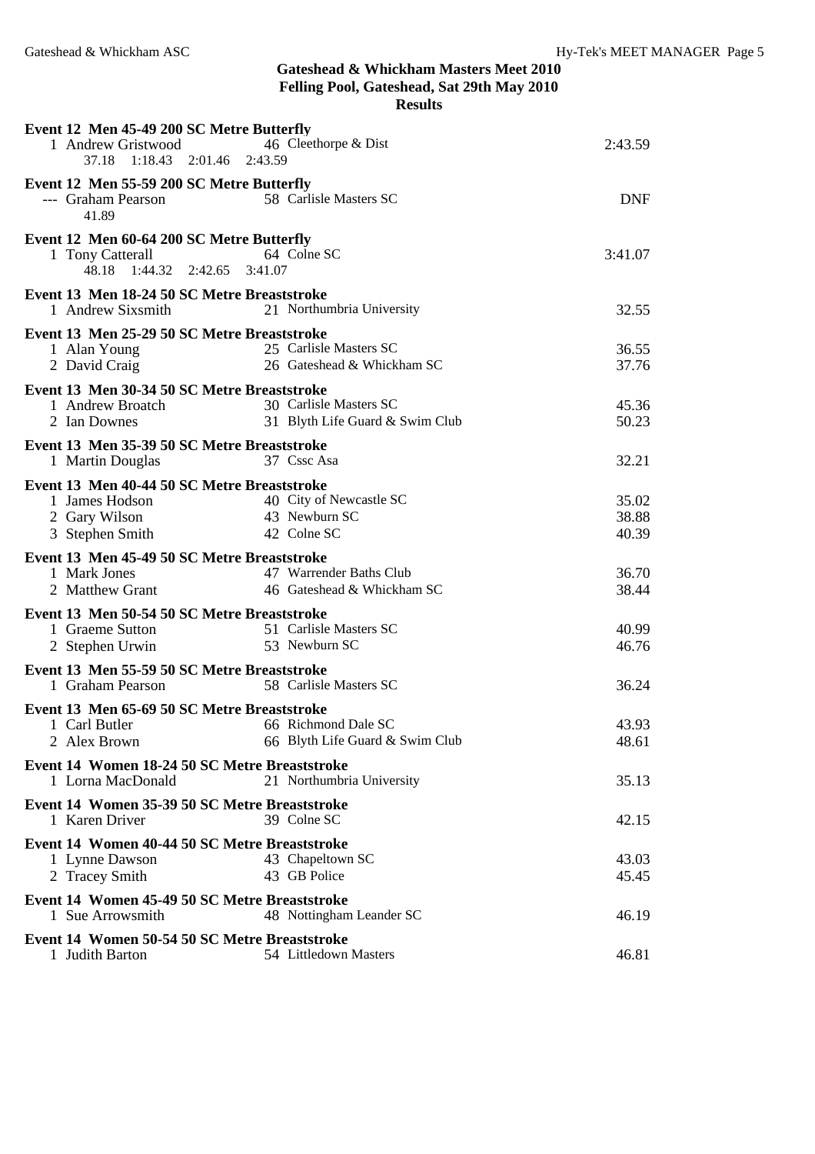| tesults |
|---------|
|---------|

| Event 12 Men 45-49 200 SC Metre Butterfly<br>1 Andrew Gristwood<br>37.18 1:18.43 2:01.46 2:43.59          | 46 Cleethorpe & Dist                                      | 2:43.59                 |
|-----------------------------------------------------------------------------------------------------------|-----------------------------------------------------------|-------------------------|
| Event 12 Men 55-59 200 SC Metre Butterfly<br>--- Graham Pearson<br>41.89                                  | 58 Carlisle Masters SC                                    | <b>DNF</b>              |
| Event 12 Men 60-64 200 SC Metre Butterfly<br>1 Tony Catterall<br>48.18 1:44.32 2:42.65 3:41.07            | 64 Colne SC                                               | 3:41.07                 |
| Event 13 Men 18-24 50 SC Metre Breaststroke<br>1 Andrew Sixsmith                                          | 21 Northumbria University                                 | 32.55                   |
| Event 13 Men 25-29 50 SC Metre Breaststroke<br>1 Alan Young<br>2 David Craig                              | 25 Carlisle Masters SC<br>26 Gateshead & Whickham SC      | 36.55<br>37.76          |
| Event 13 Men 30-34 50 SC Metre Breaststroke<br>1 Andrew Broatch<br>2 Ian Downes                           | 30 Carlisle Masters SC<br>31 Blyth Life Guard & Swim Club | 45.36<br>50.23          |
| Event 13 Men 35-39 50 SC Metre Breaststroke<br>37 Cssc Asa<br>1 Martin Douglas                            |                                                           | 32.21                   |
| Event 13 Men 40-44 50 SC Metre Breaststroke<br>1 James Hodson<br>2 Gary Wilson<br>3 Stephen Smith         | 40 City of Newcastle SC<br>43 Newburn SC<br>42 Colne SC   | 35.02<br>38.88<br>40.39 |
| Event 13 Men 45-49 50 SC Metre Breaststroke<br>1 Mark Jones<br>2 Matthew Grant 46 Gateshead & Whickham SC | 47 Warrender Baths Club                                   | 36.70<br>38.44          |
| Event 13 Men 50-54 50 SC Metre Breaststroke<br>1 Graeme Sutton<br>2 Stephen Urwin                         | 51 Carlisle Masters SC<br>53 Newburn SC                   | 40.99<br>46.76          |
| Event 13 Men 55-59 50 SC Metre Breaststroke<br>1 Graham Pearson                                           | 58 Carlisle Masters SC                                    | 36.24                   |
| Event 13 Men 65-69 50 SC Metre Breaststroke<br>1 Carl Butler<br>2 Alex Brown                              | 66 Richmond Dale SC<br>66 Blyth Life Guard & Swim Club    | 43.93<br>48.61          |
| Event 14 Women 18-24 50 SC Metre Breaststroke<br>1 Lorna MacDonald                                        | 21 Northumbria University                                 | 35.13                   |
| Event 14 Women 35-39 50 SC Metre Breaststroke<br>1 Karen Driver                                           | 39 Colne SC                                               | 42.15                   |
| Event 14 Women 40-44 50 SC Metre Breaststroke<br>1 Lynne Dawson<br>2 Tracey Smith                         | 43 Chapeltown SC<br>43 GB Police                          | 43.03<br>45.45          |
| Event 14 Women 45-49 50 SC Metre Breaststroke<br>1 Sue Arrowsmith                                         | 48 Nottingham Leander SC                                  | 46.19                   |
| Event 14 Women 50-54 50 SC Metre Breaststroke<br>1 Judith Barton                                          | 54 Littledown Masters                                     | 46.81                   |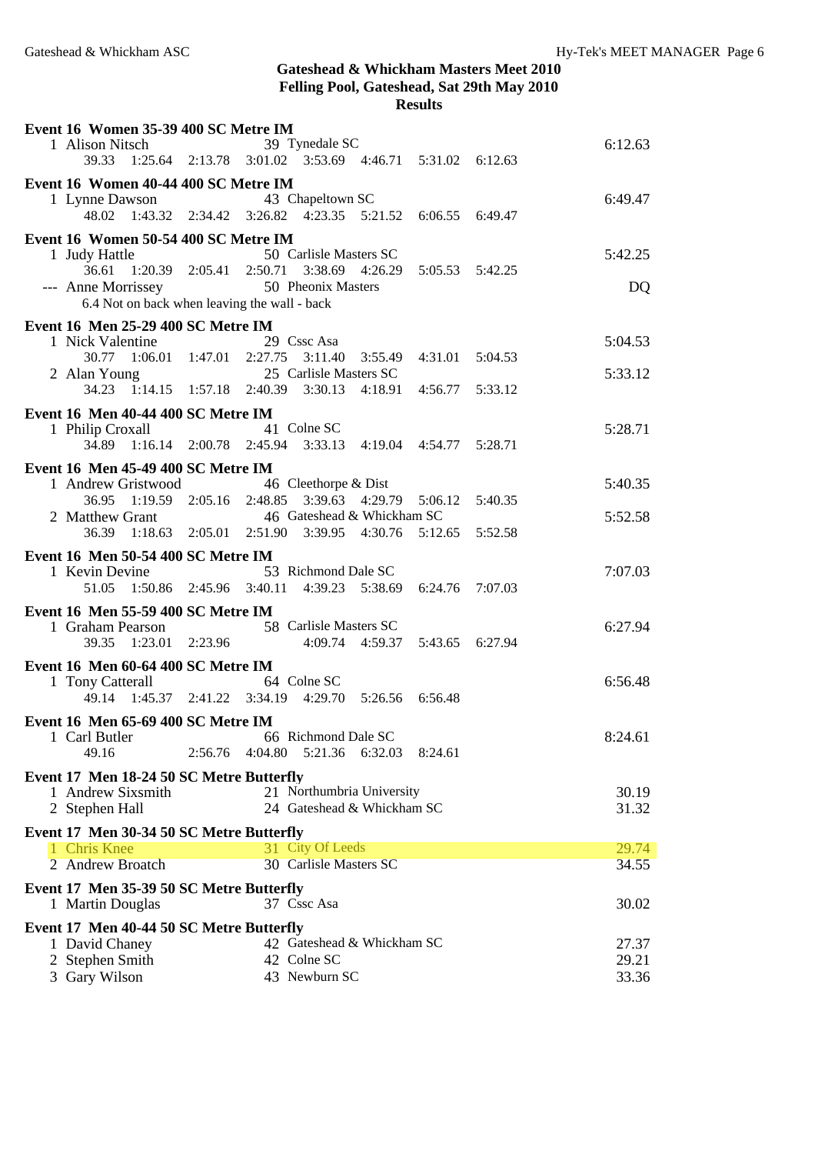**Results**

| Event 16 Women 35-39 400 SC Metre IM                          |  |  |                                         |  |  |  |                |
|---------------------------------------------------------------|--|--|-----------------------------------------|--|--|--|----------------|
| 1 Alison Nitsch                                               |  |  | 39 Tynedale SC                          |  |  |  | 6:12.63        |
| 39.33 1:25.64 2:13.78 3:01.02 3:53.69 4:46.71 5:31.02 6:12.63 |  |  |                                         |  |  |  |                |
| Event 16 Women 40-44 400 SC Metre IM                          |  |  |                                         |  |  |  |                |
| 1 Lynne Dawson                                                |  |  | 43 Chapeltown SC                        |  |  |  | 6:49.47        |
| 48.02 1:43.32 2:34.42 3:26.82 4:23.35 5:21.52 6:06.55 6:49.47 |  |  |                                         |  |  |  |                |
| Event 16 Women 50-54 400 SC Metre IM                          |  |  |                                         |  |  |  |                |
| 1 Judy Hattle                                                 |  |  | 50 Carlisle Masters SC                  |  |  |  | 5:42.25        |
| 36.61 1:20.39 2:05.41 2:50.71 3:38.69 4:26.29 5:05.53 5:42.25 |  |  |                                         |  |  |  |                |
| --- Anne Morrissey                                            |  |  | 50 Pheonix Masters                      |  |  |  | DQ             |
| 6.4 Not on back when leaving the wall - back                  |  |  |                                         |  |  |  |                |
| Event 16 Men 25-29 400 SC Metre IM                            |  |  |                                         |  |  |  |                |
| 1 Nick Valentine                                              |  |  | 29 Cssc Asa                             |  |  |  | 5:04.53        |
| 30.77 1:06.01 1:47.01 2:27.75 3:11.40 3:55.49 4:31.01 5:04.53 |  |  |                                         |  |  |  |                |
| 2 Alan Young                                                  |  |  | 25 Carlisle Masters SC                  |  |  |  | 5:33.12        |
| 34.23 1:14.15 1:57.18 2:40.39 3:30.13 4:18.91 4:56.77 5:33.12 |  |  |                                         |  |  |  |                |
| Event 16 Men 40-44 400 SC Metre IM                            |  |  |                                         |  |  |  |                |
| 1 Philip Croxall                                              |  |  | 41 Colne SC                             |  |  |  | 5:28.71        |
| 34.89 1:16.14 2:00.78 2:45.94 3:33.13 4:19.04 4:54.77 5:28.71 |  |  |                                         |  |  |  |                |
| Event 16 Men 45-49 400 SC Metre IM                            |  |  |                                         |  |  |  |                |
| 1 Andrew Gristwood 46 Cleethorpe & Dist                       |  |  |                                         |  |  |  | 5:40.35        |
| 36.95 1:19.59 2:05.16 2:48.85 3:39.63 4:29.79 5:06.12 5:40.35 |  |  |                                         |  |  |  |                |
| 2 Matthew Grant 46 Gateshead & Whickham SC                    |  |  |                                         |  |  |  | 5:52.58        |
| 36.39 1:18.63 2:05.01 2:51.90 3:39.95 4:30.76 5:12.65 5:52.58 |  |  |                                         |  |  |  |                |
| Event 16 Men 50-54 400 SC Metre IM                            |  |  |                                         |  |  |  |                |
| 1 Kevin Devine                                                |  |  | 53 Richmond Dale SC                     |  |  |  | 7:07.03        |
| 51.05 1:50.86 2:45.96 3:40.11 4:39.23 5:38.69 6:24.76 7:07.03 |  |  |                                         |  |  |  |                |
| Event 16 Men 55-59 400 SC Metre IM                            |  |  |                                         |  |  |  |                |
| 1 Graham Pearson                                              |  |  | 58 Carlisle Masters SC                  |  |  |  | 6:27.94        |
| 39.35 1:23.01 2:23.96 4:09.74 4:59.37 5:43.65 6:27.94         |  |  |                                         |  |  |  |                |
| Event 16 Men 60-64 400 SC Metre IM                            |  |  |                                         |  |  |  |                |
| 1 Tony Catterall                                              |  |  | 64 Colne SC                             |  |  |  | 6:56.48        |
| 49.14 1:45.37 2:41.22 3:34.19 4:29.70 5:26.56 6:56.48         |  |  |                                         |  |  |  |                |
| Event 16 Men 65-69 400 SC Metre IM                            |  |  |                                         |  |  |  |                |
| 1 Carl Butler 66 Richmond Dale SC                             |  |  |                                         |  |  |  | 8:24.61        |
| 49.16                                                         |  |  | 2:56.76 4:04.80 5:21.36 6:32.03 8:24.61 |  |  |  |                |
| Event 17 Men 18-24 50 SC Metre Butterfly                      |  |  |                                         |  |  |  |                |
| 1 Andrew Sixsmith                                             |  |  | 21 Northumbria University               |  |  |  | 30.19          |
| 2 Stephen Hall                                                |  |  | 24 Gateshead & Whickham SC              |  |  |  | 31.32          |
| Event 17 Men 30-34 50 SC Metre Butterfly                      |  |  |                                         |  |  |  |                |
| 1 Chris Knee                                                  |  |  | 31 City Of Leeds                        |  |  |  | 29.74          |
| 2 Andrew Broatch                                              |  |  | 30 Carlisle Masters SC                  |  |  |  | 34.55          |
| Event 17 Men 35-39 50 SC Metre Butterfly                      |  |  |                                         |  |  |  |                |
| 1 Martin Douglas                                              |  |  | 37 Cssc Asa                             |  |  |  | 30.02          |
|                                                               |  |  |                                         |  |  |  |                |
| Event 17 Men 40-44 50 SC Metre Butterfly                      |  |  |                                         |  |  |  |                |
| 1 David Chaney                                                |  |  | 42 Gateshead & Whickham SC              |  |  |  | 27.37          |
| 2 Stephen Smith<br>3 Gary Wilson                              |  |  | 42 Colne SC<br>43 Newburn SC            |  |  |  | 29.21<br>33.36 |
|                                                               |  |  |                                         |  |  |  |                |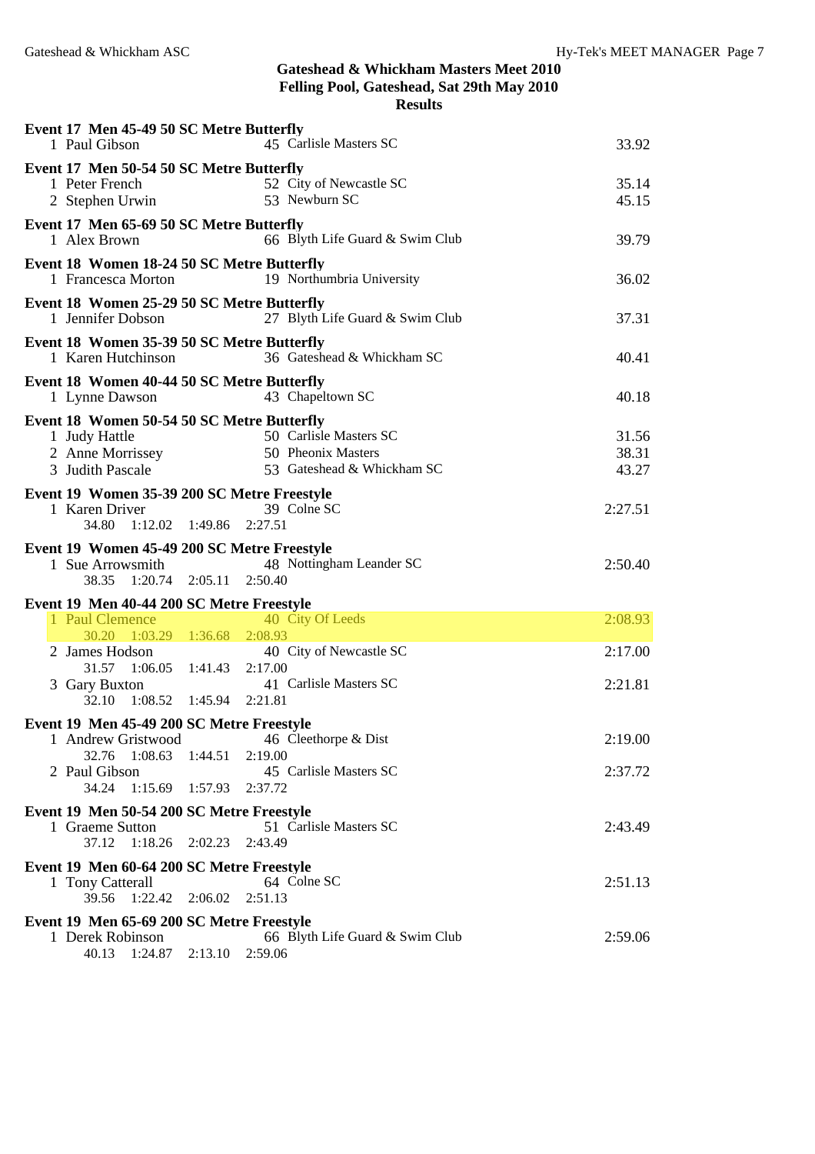**Results**

| Event 17 Men 45-49 50 SC Metre Butterfly<br>1 Paul Gibson                                           | 45 Carlisle Masters SC                                                     | 33.92                   |
|-----------------------------------------------------------------------------------------------------|----------------------------------------------------------------------------|-------------------------|
| Event 17 Men 50-54 50 SC Metre Butterfly<br>1 Peter French<br>2 Stephen Urwin                       | 52 City of Newcastle SC<br>53 Newburn SC                                   | 35.14<br>45.15          |
| Event 17 Men 65-69 50 SC Metre Butterfly<br>1 Alex Brown                                            | 66 Blyth Life Guard & Swim Club                                            | 39.79                   |
| Event 18 Women 18-24 50 SC Metre Butterfly<br>1 Francesca Morton                                    | 19 Northumbria University                                                  | 36.02                   |
| Event 18 Women 25-29 50 SC Metre Butterfly<br>1 Jennifer Dobson                                     | 27 Blyth Life Guard & Swim Club                                            | 37.31                   |
| Event 18 Women 35-39 50 SC Metre Butterfly<br>1 Karen Hutchinson                                    | 36 Gateshead & Whickham SC                                                 | 40.41                   |
| Event 18 Women 40-44 50 SC Metre Butterfly<br>1 Lynne Dawson                                        | 43 Chapeltown SC                                                           | 40.18                   |
| Event 18 Women 50-54 50 SC Metre Butterfly<br>1 Judy Hattle<br>2 Anne Morrissey<br>3 Judith Pascale | 50 Carlisle Masters SC<br>50 Pheonix Masters<br>53 Gateshead & Whickham SC | 31.56<br>38.31<br>43.27 |
| Event 19 Women 35-39 200 SC Metre Freestyle<br>1 Karen Driver<br>34.80 1:12.02 1:49.86 2:27.51      | 39 Colne SC                                                                | 2:27.51                 |
|                                                                                                     |                                                                            |                         |
| Event 19 Women 45-49 200 SC Metre Freestyle<br>1 Sue Arrowsmith<br>38.35 1:20.74 2:05.11 2:50.40    | 48 Nottingham Leander SC                                                   | 2:50.40                 |
|                                                                                                     |                                                                            |                         |
| Event 19 Men 40-44 200 SC Metre Freestyle<br>1 Paul Clemence<br>30.20 1:03.29 1:36.68 2:08.93       | 40 City Of Leeds                                                           | 2:08.93                 |
| 2 James Hodson                                                                                      | 40 City of Newcastle SC                                                    | 2:17.00                 |
| 31.57 1:06.05 1:41.43 2:17.00<br>3 Gary Buxton<br>32.10 1:08.52 1:45.94 2:21.81                     | 41 Carlisle Masters SC                                                     | 2:21.81                 |
|                                                                                                     |                                                                            |                         |
| Event 19 Men 45-49 200 SC Metre Freestyle<br>1 Andrew Gristwood                                     | 46 Cleethorpe & Dist                                                       | 2:19.00                 |
| 32.76 1:08.63 1:44.51 2:19.00<br>2 Paul Gibson<br>34.24 1:15.69 1:57.93 2:37.72                     | 45 Carlisle Masters SC                                                     | 2:37.72                 |
|                                                                                                     |                                                                            |                         |
| Event 19 Men 50-54 200 SC Metre Freestyle<br>1 Graeme Sutton<br>37.12 1:18.26 2:02.23 2:43.49       | 51 Carlisle Masters SC                                                     | 2:43.49                 |
| Event 19 Men 60-64 200 SC Metre Freestyle<br>1 Tony Catterall<br>39.56 1:22.42 2:06.02 2:51.13      | 64 Colne SC                                                                | 2:51.13                 |
| Event 19 Men 65-69 200 SC Metre Freestyle                                                           |                                                                            |                         |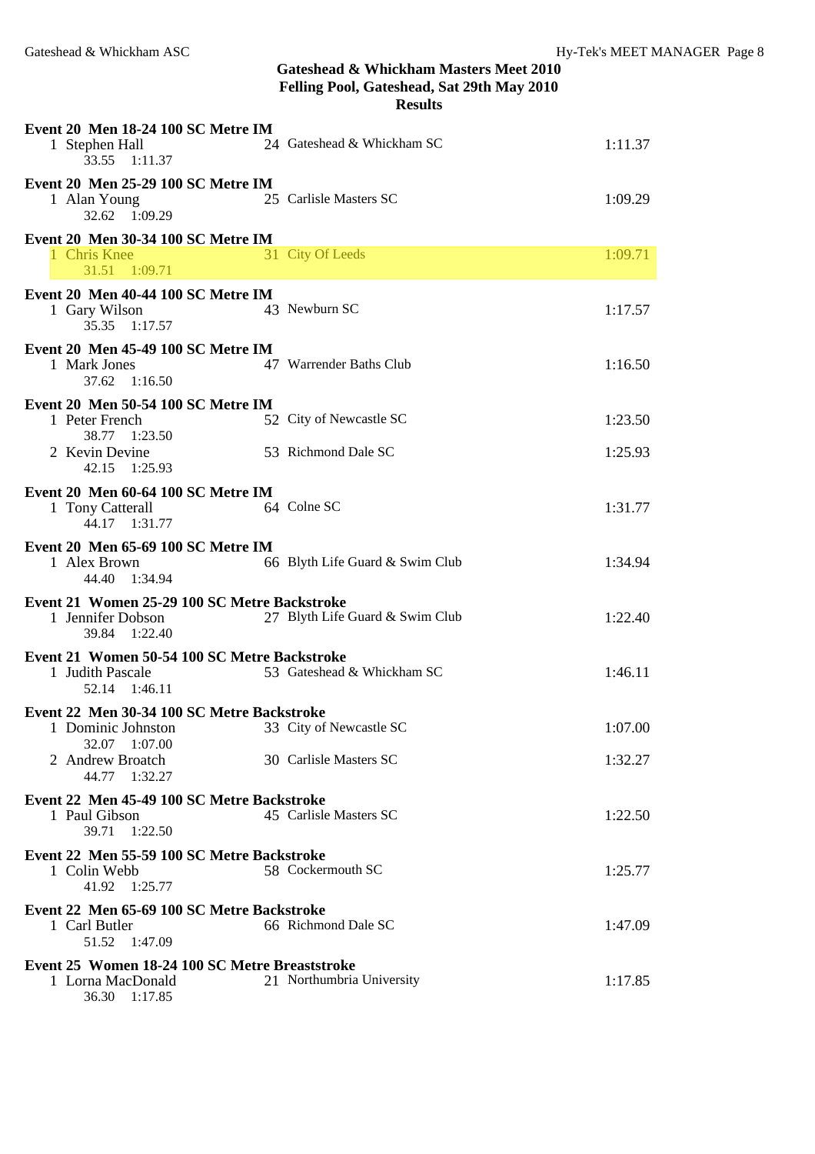| Event 20 Men 18-24 100 SC Metre IM<br>1 Stephen Hall<br>33.55 1:11.37 | 24 Gateshead & Whickham SC      | 1:11.37 |
|-----------------------------------------------------------------------|---------------------------------|---------|
| Event 20 Men 25-29 100 SC Metre IM<br>1 Alan Young<br>32.62 1:09.29   | 25 Carlisle Masters SC          | 1:09.29 |
| Event 20 Men 30-34 100 SC Metre IM                                    |                                 |         |
| 1 Chris Knee<br>31.51 1:09.71                                         | 31 City Of Leeds                | 1:09.71 |
| Event 20 Men 40-44 100 SC Metre IM<br>1 Gary Wilson<br>35.35 1:17.57  | 43 Newburn SC                   | 1:17.57 |
| Event 20 Men 45-49 100 SC Metre IM<br>1 Mark Jones<br>37.62 1:16.50   | 47 Warrender Baths Club         | 1:16.50 |
| Event 20 Men 50-54 100 SC Metre IM                                    |                                 |         |
| 1 Peter French<br>38.77 1:23.50                                       | 52 City of Newcastle SC         | 1:23.50 |
| 2 Kevin Devine<br>42.15 1:25.93                                       | 53 Richmond Dale SC             | 1:25.93 |
| Event 20 Men 60-64 100 SC Metre IM                                    |                                 |         |
| 64 Colne SC<br>1 Tony Catterall<br>44.17 1:31.77                      |                                 | 1:31.77 |
| Event 20 Men 65-69 100 SC Metre IM                                    |                                 |         |
| 1 Alex Brown<br>44.40 1:34.94                                         | 66 Blyth Life Guard & Swim Club | 1:34.94 |
| Event 21 Women 25-29 100 SC Metre Backstroke                          |                                 |         |
| 1 Jennifer Dobson<br>39.84 1:22.40                                    | 27 Blyth Life Guard & Swim Club | 1:22.40 |
| Event 21 Women 50-54 100 SC Metre Backstroke                          |                                 |         |
| 1 Judith Pascale<br>52.14 1:46.11                                     | 53 Gateshead & Whickham SC      | 1:46.11 |
| Event 22 Men 30-34 100 SC Metre Backstroke                            |                                 |         |
| 1 Dominic Johnston<br>32.07<br>1:07.00                                | 33 City of Newcastle SC         | 1:07.00 |
| 2 Andrew Broatch<br>44.77 1:32.27                                     | 30 Carlisle Masters SC          | 1:32.27 |
| Event 22 Men 45-49 100 SC Metre Backstroke                            |                                 |         |
| 1 Paul Gibson<br>39.71 1:22.50                                        | 45 Carlisle Masters SC          | 1:22.50 |
| Event 22 Men 55-59 100 SC Metre Backstroke                            |                                 |         |
| 1 Colin Webb<br>41.92 1:25.77                                         | 58 Cockermouth SC               | 1:25.77 |
| Event 22 Men 65-69 100 SC Metre Backstroke                            |                                 |         |
| 1 Carl Butler<br>51.52 1:47.09                                        | 66 Richmond Dale SC             | 1:47.09 |
| Event 25 Women 18-24 100 SC Metre Breaststroke                        |                                 |         |
| 1 Lorna MacDonald<br>36.30 1:17.85                                    | 21 Northumbria University       | 1:17.85 |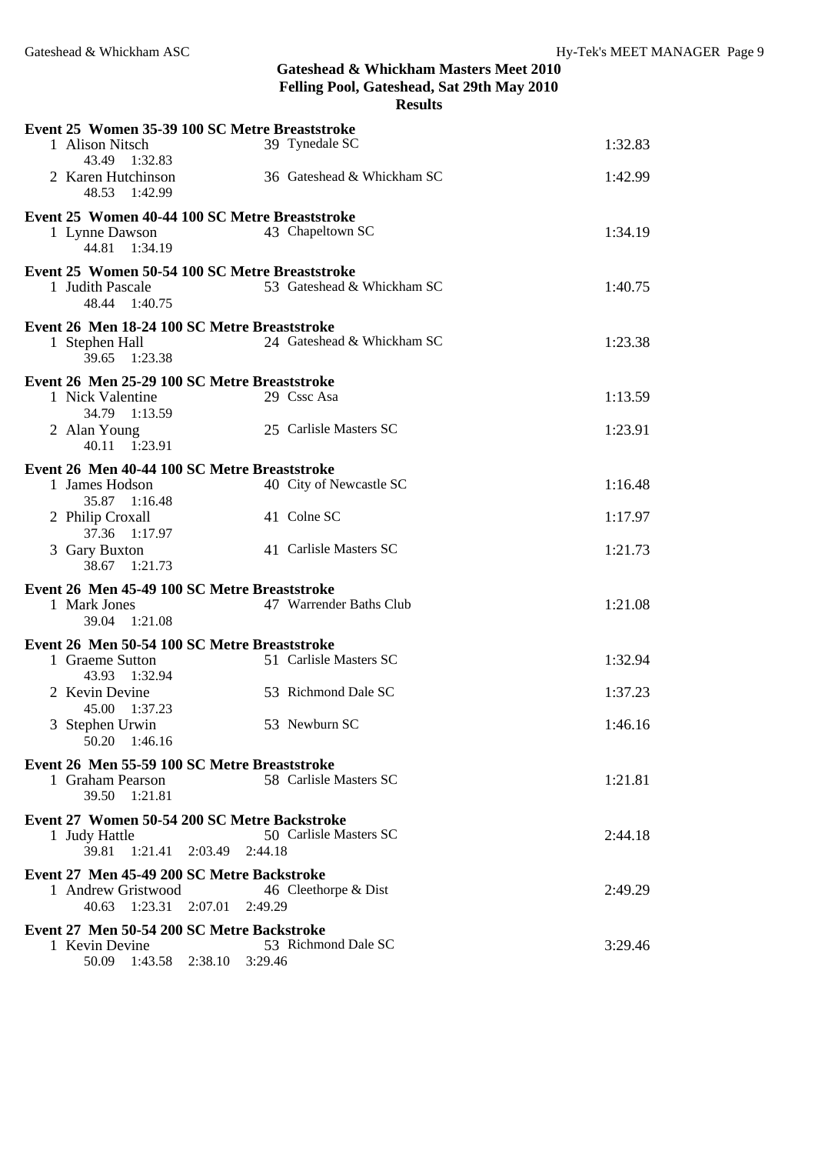| esults<br>۱. |  |
|--------------|--|
|--------------|--|

| Event 25 Women 35-39 100 SC Metre Breaststroke                   |                            |         |
|------------------------------------------------------------------|----------------------------|---------|
| 1 Alison Nitsch<br>43.49 1:32.83                                 | 39 Tynedale SC             | 1:32.83 |
| 2 Karen Hutchinson<br>48.53<br>1:42.99                           | 36 Gateshead & Whickham SC | 1:42.99 |
| Event 25 Women 40-44 100 SC Metre Breaststroke                   |                            |         |
| 1 Lynne Dawson<br>44.81 1:34.19                                  | 43 Chapeltown SC           | 1:34.19 |
| Event 25 Women 50-54 100 SC Metre Breaststroke                   |                            |         |
| 1 Judith Pascale<br>48.44 1:40.75                                | 53 Gateshead & Whickham SC | 1:40.75 |
| Event 26 Men 18-24 100 SC Metre Breaststroke                     |                            |         |
| 1 Stephen Hall<br>39.65 1:23.38                                  | 24 Gateshead & Whickham SC | 1:23.38 |
| Event 26 Men 25-29 100 SC Metre Breaststroke                     |                            |         |
| 1 Nick Valentine<br>34.79 1:13.59                                | 29 Cssc Asa                | 1:13.59 |
| 2 Alan Young                                                     | 25 Carlisle Masters SC     | 1:23.91 |
| 40.11 1:23.91                                                    |                            |         |
| Event 26 Men 40-44 100 SC Metre Breaststroke                     |                            |         |
| 1 James Hodson                                                   | 40 City of Newcastle SC    | 1:16.48 |
| 35.87 1:16.48                                                    |                            |         |
| 2 Philip Croxall<br>37.36 1:17.97                                | 41 Colne SC                | 1:17.97 |
| 3 Gary Buxton                                                    | 41 Carlisle Masters SC     | 1:21.73 |
| 38.67 1:21.73                                                    |                            |         |
| Event 26 Men 45-49 100 SC Metre Breaststroke                     |                            |         |
| 1 Mark Jones                                                     | 47 Warrender Baths Club    | 1:21.08 |
| 39.04 1:21.08                                                    |                            |         |
| Event 26 Men 50-54 100 SC Metre Breaststroke                     |                            |         |
| 1 Graeme Sutton<br>43.93 1:32.94                                 | 51 Carlisle Masters SC     | 1:32.94 |
| 2 Kevin Devine                                                   | 53 Richmond Dale SC        | 1:37.23 |
| 45.00 1:37.23                                                    |                            |         |
| 3 Stephen Urwin                                                  | 53 Newburn SC              | 1:46.16 |
| 50.20 1:46.16                                                    |                            |         |
|                                                                  |                            |         |
| Event 26 Men 55-59 100 SC Metre Breaststroke                     |                            |         |
| 1 Graham Pearson                                                 | 58 Carlisle Masters SC     | 1:21.81 |
| 39.50 1:21.81                                                    |                            |         |
| Event 27 Women 50-54 200 SC Metre Backstroke                     |                            |         |
| 1 Judy Hattle<br>$1:21.41$ $2:03.49$ $2:44.18$<br>39.81          | 50 Carlisle Masters SC     | 2:44.18 |
|                                                                  |                            |         |
| Event 27 Men 45-49 200 SC Metre Backstroke<br>1 Andrew Gristwood | 46 Cleethorpe & Dist       | 2:49.29 |
| 40.63 1:23.31 2:07.01                                            | 2:49.29                    |         |
| Event 27 Men 50-54 200 SC Metre Backstroke                       |                            |         |
| 1 Kevin Devine<br>50.09 1:43.58 2:38.10 3:29.46                  | 53 Richmond Dale SC        | 3:29.46 |